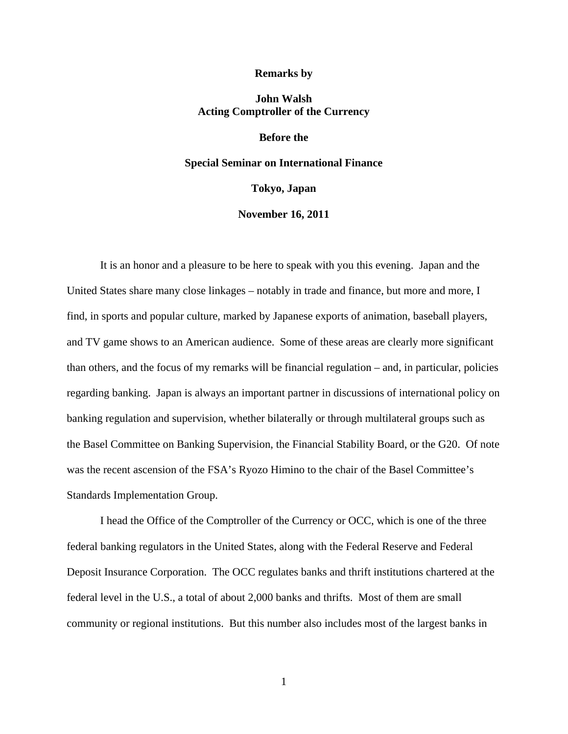#### **Remarks by**

# **John Walsh Acting Comptroller of the Currency**

## **Before the**

## **Special Seminar on International Finance**

**Tokyo, Japan** 

### **November 16, 2011**

It is an honor and a pleasure to be here to speak with you this evening. Japan and the United States share many close linkages – notably in trade and finance, but more and more, I find, in sports and popular culture, marked by Japanese exports of animation, baseball players, and TV game shows to an American audience. Some of these areas are clearly more significant than others, and the focus of my remarks will be financial regulation – and, in particular, policies regarding banking. Japan is always an important partner in discussions of international policy on banking regulation and supervision, whether bilaterally or through multilateral groups such as the Basel Committee on Banking Supervision, the Financial Stability Board, or the G20. Of note was the recent ascension of the FSA's Ryozo Himino to the chair of the Basel Committee's Standards Implementation Group.

I head the Office of the Comptroller of the Currency or OCC, which is one of the three federal banking regulators in the United States, along with the Federal Reserve and Federal Deposit Insurance Corporation. The OCC regulates banks and thrift institutions chartered at the federal level in the U.S., a total of about 2,000 banks and thrifts. Most of them are small community or regional institutions. But this number also includes most of the largest banks in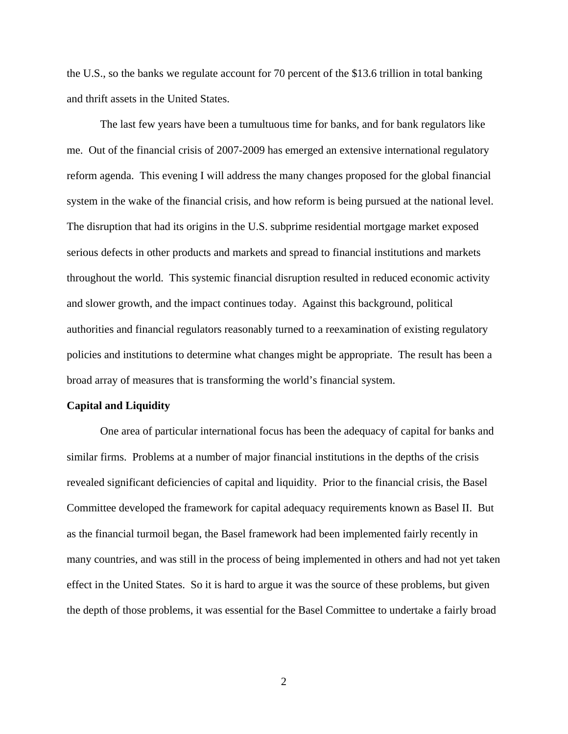the U.S., so the banks we regulate account for 70 percent of the \$13.6 trillion in total banking and thrift assets in the United States.

The last few years have been a tumultuous time for banks, and for bank regulators like me. Out of the financial crisis of 2007-2009 has emerged an extensive international regulatory reform agenda. This evening I will address the many changes proposed for the global financial system in the wake of the financial crisis, and how reform is being pursued at the national level. The disruption that had its origins in the U.S. subprime residential mortgage market exposed serious defects in other products and markets and spread to financial institutions and markets throughout the world. This systemic financial disruption resulted in reduced economic activity and slower growth, and the impact continues today. Against this background, political authorities and financial regulators reasonably turned to a reexamination of existing regulatory policies and institutions to determine what changes might be appropriate. The result has been a broad array of measures that is transforming the world's financial system.

#### **Capital and Liquidity**

One area of particular international focus has been the adequacy of capital for banks and similar firms. Problems at a number of major financial institutions in the depths of the crisis revealed significant deficiencies of capital and liquidity. Prior to the financial crisis, the Basel Committee developed the framework for capital adequacy requirements known as Basel II. But as the financial turmoil began, the Basel framework had been implemented fairly recently in many countries, and was still in the process of being implemented in others and had not yet taken effect in the United States. So it is hard to argue it was the source of these problems, but given the depth of those problems, it was essential for the Basel Committee to undertake a fairly broad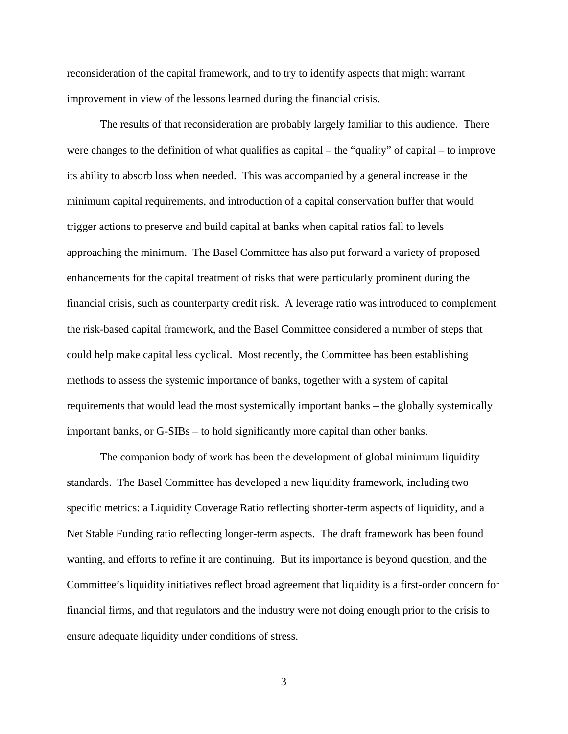reconsideration of the capital framework, and to try to identify aspects that might warrant improvement in view of the lessons learned during the financial crisis.

The results of that reconsideration are probably largely familiar to this audience. There were changes to the definition of what qualifies as capital – the "quality" of capital – to improve its ability to absorb loss when needed. This was accompanied by a general increase in the minimum capital requirements, and introduction of a capital conservation buffer that would trigger actions to preserve and build capital at banks when capital ratios fall to levels approaching the minimum. The Basel Committee has also put forward a variety of proposed enhancements for the capital treatment of risks that were particularly prominent during the financial crisis, such as counterparty credit risk. A leverage ratio was introduced to complement the risk-based capital framework, and the Basel Committee considered a number of steps that could help make capital less cyclical. Most recently, the Committee has been establishing methods to assess the systemic importance of banks, together with a system of capital requirements that would lead the most systemically important banks – the globally systemically important banks, or G-SIBs – to hold significantly more capital than other banks.

The companion body of work has been the development of global minimum liquidity standards. The Basel Committee has developed a new liquidity framework, including two specific metrics: a Liquidity Coverage Ratio reflecting shorter-term aspects of liquidity, and a Net Stable Funding ratio reflecting longer-term aspects. The draft framework has been found wanting, and efforts to refine it are continuing. But its importance is beyond question, and the Committee's liquidity initiatives reflect broad agreement that liquidity is a first-order concern for financial firms, and that regulators and the industry were not doing enough prior to the crisis to ensure adequate liquidity under conditions of stress.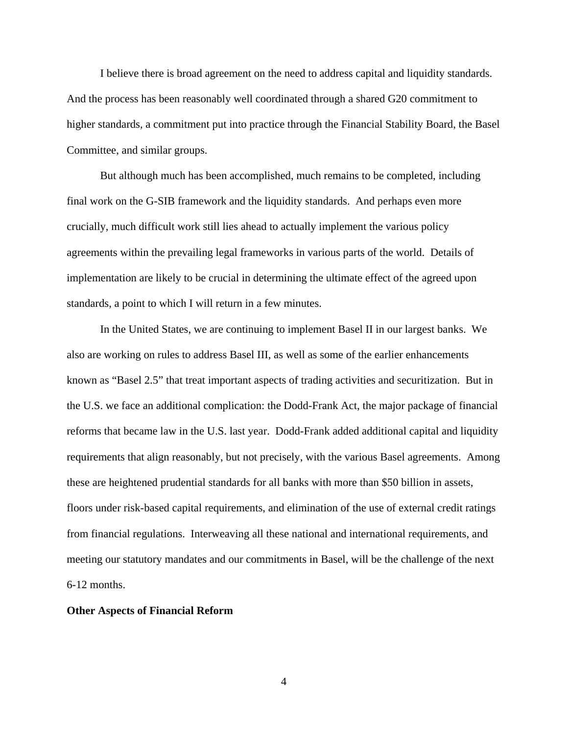I believe there is broad agreement on the need to address capital and liquidity standards. And the process has been reasonably well coordinated through a shared G20 commitment to higher standards, a commitment put into practice through the Financial Stability Board, the Basel Committee, and similar groups.

But although much has been accomplished, much remains to be completed, including final work on the G-SIB framework and the liquidity standards. And perhaps even more crucially, much difficult work still lies ahead to actually implement the various policy agreements within the prevailing legal frameworks in various parts of the world. Details of implementation are likely to be crucial in determining the ultimate effect of the agreed upon standards, a point to which I will return in a few minutes.

In the United States, we are continuing to implement Basel II in our largest banks. We also are working on rules to address Basel III, as well as some of the earlier enhancements known as "Basel 2.5" that treat important aspects of trading activities and securitization. But in the U.S. we face an additional complication: the Dodd-Frank Act, the major package of financial reforms that became law in the U.S. last year. Dodd-Frank added additional capital and liquidity requirements that align reasonably, but not precisely, with the various Basel agreements. Among these are heightened prudential standards for all banks with more than \$50 billion in assets, floors under risk-based capital requirements, and elimination of the use of external credit ratings from financial regulations. Interweaving all these national and international requirements, and meeting our statutory mandates and our commitments in Basel, will be the challenge of the next 6-12 months.

## **Other Aspects of Financial Reform**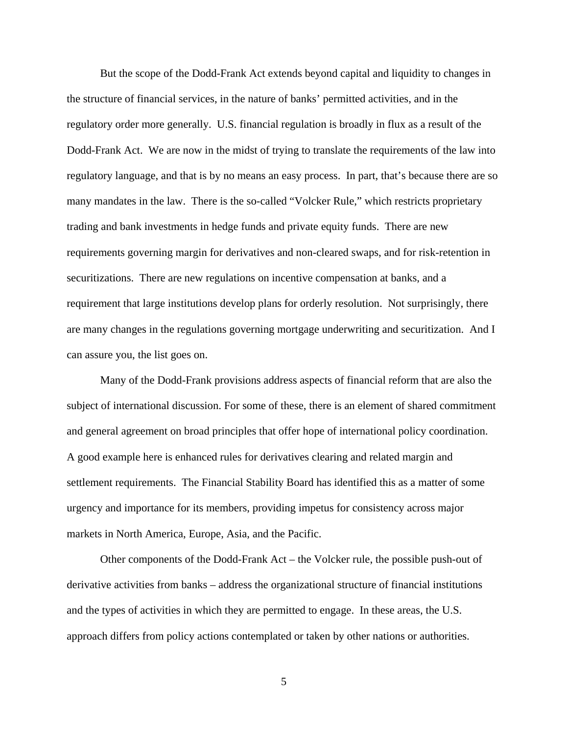But the scope of the Dodd-Frank Act extends beyond capital and liquidity to changes in the structure of financial services, in the nature of banks' permitted activities, and in the regulatory order more generally. U.S. financial regulation is broadly in flux as a result of the Dodd-Frank Act. We are now in the midst of trying to translate the requirements of the law into regulatory language, and that is by no means an easy process. In part, that's because there are so many mandates in the law. There is the so-called "Volcker Rule," which restricts proprietary trading and bank investments in hedge funds and private equity funds. There are new requirements governing margin for derivatives and non-cleared swaps, and for risk-retention in securitizations. There are new regulations on incentive compensation at banks, and a requirement that large institutions develop plans for orderly resolution. Not surprisingly, there are many changes in the regulations governing mortgage underwriting and securitization. And I can assure you, the list goes on.

Many of the Dodd-Frank provisions address aspects of financial reform that are also the subject of international discussion. For some of these, there is an element of shared commitment and general agreement on broad principles that offer hope of international policy coordination. A good example here is enhanced rules for derivatives clearing and related margin and settlement requirements. The Financial Stability Board has identified this as a matter of some urgency and importance for its members, providing impetus for consistency across major markets in North America, Europe, Asia, and the Pacific.

Other components of the Dodd-Frank Act – the Volcker rule, the possible push-out of derivative activities from banks – address the organizational structure of financial institutions and the types of activities in which they are permitted to engage. In these areas, the U.S. approach differs from policy actions contemplated or taken by other nations or authorities.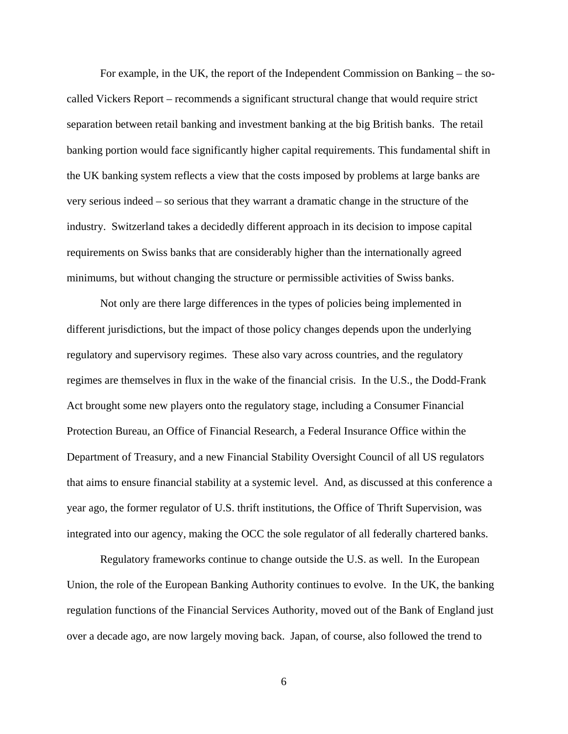For example, in the UK, the report of the Independent Commission on Banking – the socalled Vickers Report – recommends a significant structural change that would require strict separation between retail banking and investment banking at the big British banks. The retail banking portion would face significantly higher capital requirements. This fundamental shift in the UK banking system reflects a view that the costs imposed by problems at large banks are very serious indeed – so serious that they warrant a dramatic change in the structure of the industry. Switzerland takes a decidedly different approach in its decision to impose capital requirements on Swiss banks that are considerably higher than the internationally agreed minimums, but without changing the structure or permissible activities of Swiss banks.

Not only are there large differences in the types of policies being implemented in different jurisdictions, but the impact of those policy changes depends upon the underlying regulatory and supervisory regimes. These also vary across countries, and the regulatory regimes are themselves in flux in the wake of the financial crisis. In the U.S., the Dodd-Frank Act brought some new players onto the regulatory stage, including a Consumer Financial Protection Bureau, an Office of Financial Research, a Federal Insurance Office within the Department of Treasury, and a new Financial Stability Oversight Council of all US regulators that aims to ensure financial stability at a systemic level. And, as discussed at this conference a year ago, the former regulator of U.S. thrift institutions, the Office of Thrift Supervision, was integrated into our agency, making the OCC the sole regulator of all federally chartered banks.

Regulatory frameworks continue to change outside the U.S. as well. In the European Union, the role of the European Banking Authority continues to evolve. In the UK, the banking regulation functions of the Financial Services Authority, moved out of the Bank of England just over a decade ago, are now largely moving back. Japan, of course, also followed the trend to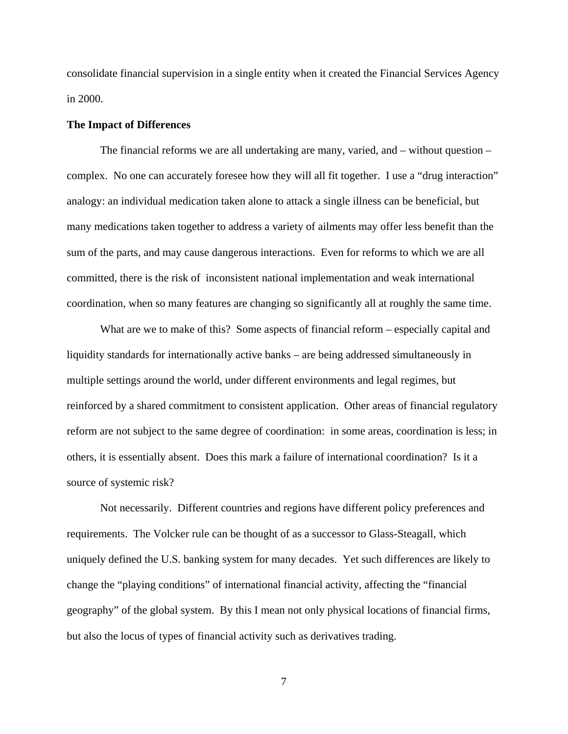consolidate financial supervision in a single entity when it created the Financial Services Agency in 2000.

#### **The Impact of Differences**

The financial reforms we are all undertaking are many, varied, and – without question – complex. No one can accurately foresee how they will all fit together. I use a "drug interaction" analogy: an individual medication taken alone to attack a single illness can be beneficial, but many medications taken together to address a variety of ailments may offer less benefit than the sum of the parts, and may cause dangerous interactions. Even for reforms to which we are all committed, there is the risk of inconsistent national implementation and weak international coordination, when so many features are changing so significantly all at roughly the same time.

What are we to make of this? Some aspects of financial reform – especially capital and liquidity standards for internationally active banks – are being addressed simultaneously in multiple settings around the world, under different environments and legal regimes, but reinforced by a shared commitment to consistent application. Other areas of financial regulatory reform are not subject to the same degree of coordination: in some areas, coordination is less; in others, it is essentially absent. Does this mark a failure of international coordination? Is it a source of systemic risk?

Not necessarily. Different countries and regions have different policy preferences and requirements. The Volcker rule can be thought of as a successor to Glass-Steagall, which uniquely defined the U.S. banking system for many decades. Yet such differences are likely to change the "playing conditions" of international financial activity, affecting the "financial geography" of the global system. By this I mean not only physical locations of financial firms, but also the locus of types of financial activity such as derivatives trading.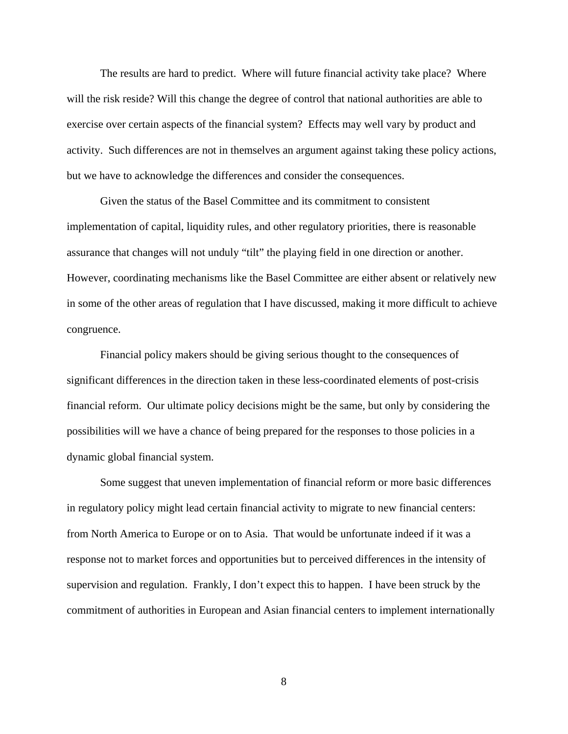The results are hard to predict. Where will future financial activity take place? Where will the risk reside? Will this change the degree of control that national authorities are able to exercise over certain aspects of the financial system? Effects may well vary by product and activity. Such differences are not in themselves an argument against taking these policy actions, but we have to acknowledge the differences and consider the consequences.

Given the status of the Basel Committee and its commitment to consistent implementation of capital, liquidity rules, and other regulatory priorities, there is reasonable assurance that changes will not unduly "tilt" the playing field in one direction or another. However, coordinating mechanisms like the Basel Committee are either absent or relatively new in some of the other areas of regulation that I have discussed, making it more difficult to achieve congruence.

Financial policy makers should be giving serious thought to the consequences of significant differences in the direction taken in these less-coordinated elements of post-crisis financial reform. Our ultimate policy decisions might be the same, but only by considering the possibilities will we have a chance of being prepared for the responses to those policies in a dynamic global financial system.

Some suggest that uneven implementation of financial reform or more basic differences in regulatory policy might lead certain financial activity to migrate to new financial centers: from North America to Europe or on to Asia. That would be unfortunate indeed if it was a response not to market forces and opportunities but to perceived differences in the intensity of supervision and regulation. Frankly, I don't expect this to happen. I have been struck by the commitment of authorities in European and Asian financial centers to implement internationally